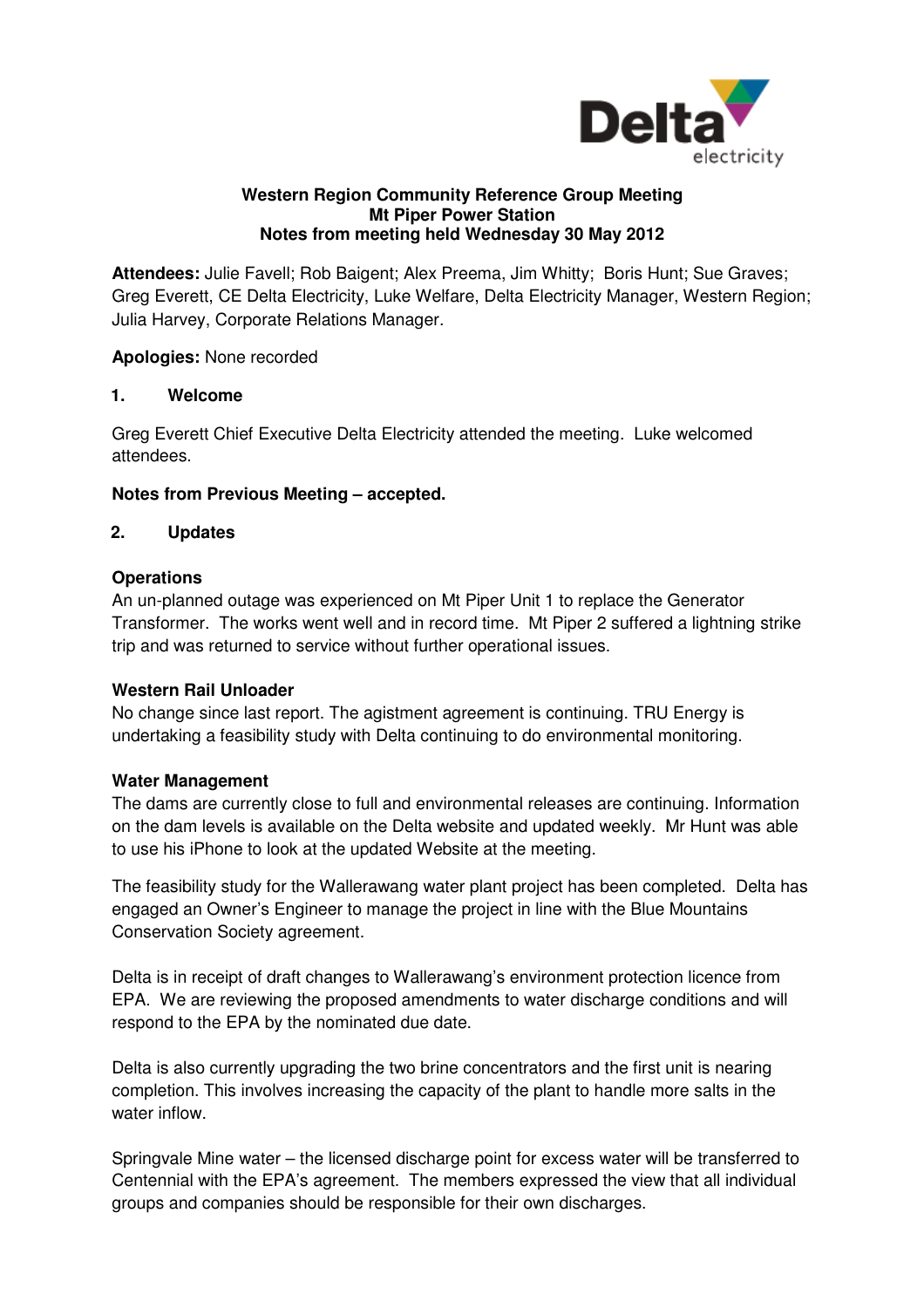

#### **Western Region Community Reference Group Meeting Notes from meeting held Wednesday 30 May 2012 s Mt Piper Power Station**

Attendees: Julie Favell; Rob Baigent; Alex Preema, Jim Whitty; Boris Hunt; Sue Graves; Greg Everett, CE Delta Electricity, Luke Welfare, Delta Electricity Manager, Western Region; Julia Harvey, Corporate Relations Manager.

**Apologies:** None recorded

### **1. Welcome**

Greg Everett Chief Executive Delta Electricity attended the meeting. Luke welcomed attendees.

# **Notes from Previous Meeting – accepted.**

### **2. Updates**

### **Operations**

An un-planned outage was experienced on Mt Piper Unit 1 to replace the Generator Transformer. The works went well and in record time. Mt Piper 2 suffered a lightning strike trip and was returned to service without further operational issues.

#### **Western Rail Unloader**

No change since last report. The agistment agreement is continuing. TRU Energy is undertaking a feasibility study with Delta continuing to do environmental monitoring.

#### **Water Management**

The dams are currently close to full and environmental releases are continuing. Information on the dam levels is available on the Delta website and updated weekly. Mr Hunt was able to use his iPhone to look at the updated Website at the meeting. r 2 suffered a lightning strike<br>es.<br>nuing. TRU Energy is<br>pnmental monitoring.<br>s are continuing. Information<br>d weekly. Mr Hunt was able<br>g.<br>s been completed. Delta has

The feasibility study for the W Wallerawang water plant project has been completed engaged an Owner's Engineer to manage the project in line with the Blue Mountains Conservation Society agreement agreement.

Delta is in receipt of draft changes to Wallerawang's environment protection protection licence from EPA. We are reviewing the proposed amendments to water discharge conditions and will respond to the EPA by the nominated due date.

Delta is also currently upgrading the two brine concentrators and the first unit is nearing completion. This involves increasing the capacity of the plant to handle more salts in the water inflow.

Springvale Mine water – the licensed discharge point for excess water will be transferred to Centennial with the EPA's agreement. The members expressed the view tha groups and companies should be responsible for their own discharges. asing the capacity of the plant to handle more salts in the<br>ensed discharge point for excess water will be transferred to<br>sement. The members expressed the view that all individual